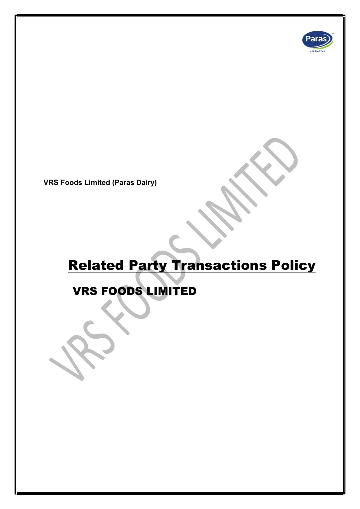

VRS Foods Limited (Paras Dairy)

# Related Party Transactions Policy

## VRS FOODS LIMITED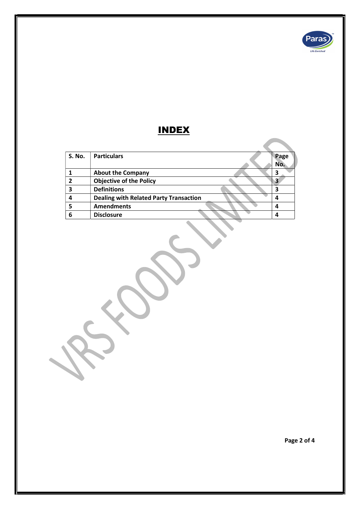

### INDEX

| <b>S. No.</b> | <b>Particulars</b>                            | Page |
|---------------|-----------------------------------------------|------|
|               |                                               | No.  |
|               | <b>About the Company</b>                      |      |
| 7             | <b>Objective of the Policy</b>                |      |
| 3             | <b>Definitions</b>                            |      |
|               | <b>Dealing with Related Party Transaction</b> |      |
|               | <b>Amendments</b>                             |      |
|               | <b>Disclosure</b>                             |      |

Page 2 of 4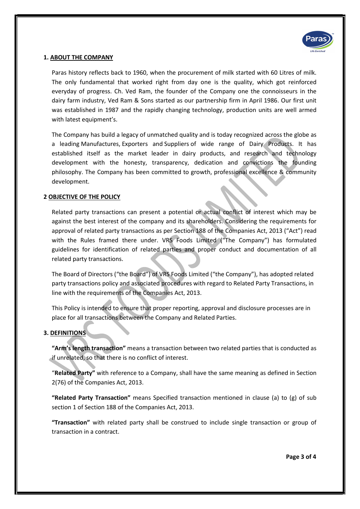

#### 1. ABOUT THE COMPANY

Paras history reflects back to 1960, when the procurement of milk started with 60 Litres of milk. The only fundamental that worked right from day one is the quality, which got reinforced everyday of progress. Ch. Ved Ram, the founder of the Company one the connoisseurs in the dairy farm industry, Ved Ram & Sons started as our partnership firm in April 1986. Our first unit was established in 1987 and the rapidly changing technology, production units are well armed with latest equipment's.

The Company has build a legacy of unmatched quality and is today recognized across the globe as a leading Manufactures, Exporters and Suppliers of wide range of Dairy Products. It has established itself as the market leader in dairy products, and research and technology development with the honesty, transparency, dedication and convictions the founding philosophy. The Company has been committed to growth, professional excellence & community development.

#### 2 OBJECTIVE OF THE POLICY

Related party transactions can present a potential or actual conflict of interest which may be against the best interest of the company and its shareholders. Considering the requirements for approval of related party transactions as per Section 188 of the Companies Act, 2013 ("Act") read with the Rules framed there under. VRS Foods Limited ("The Company") has formulated guidelines for identification of related parties and proper conduct and documentation of all related party transactions.

The Board of Directors ("the Board") of VRS Foods Limited ("the Company"), has adopted related party transactions policy and associated procedures with regard to Related Party Transactions, in line with the requirements of the Companies Act, 2013.

This Policy is intended to ensure that proper reporting, approval and disclosure processes are in place for all transactions between the Company and Related Parties.

#### 3. DEFINITIONS

"Arm's length transaction" means a transaction between two related parties that is conducted as if unrelated, so that there is no conflict of interest.

"Related Party" with reference to a Company, shall have the same meaning as defined in Section 2(76) of the Companies Act, 2013.

"Related Party Transaction" means Specified transaction mentioned in clause (a) to (g) of sub section 1 of Section 188 of the Companies Act, 2013.

"Transaction" with related party shall be construed to include single transaction or group of transaction in a contract.